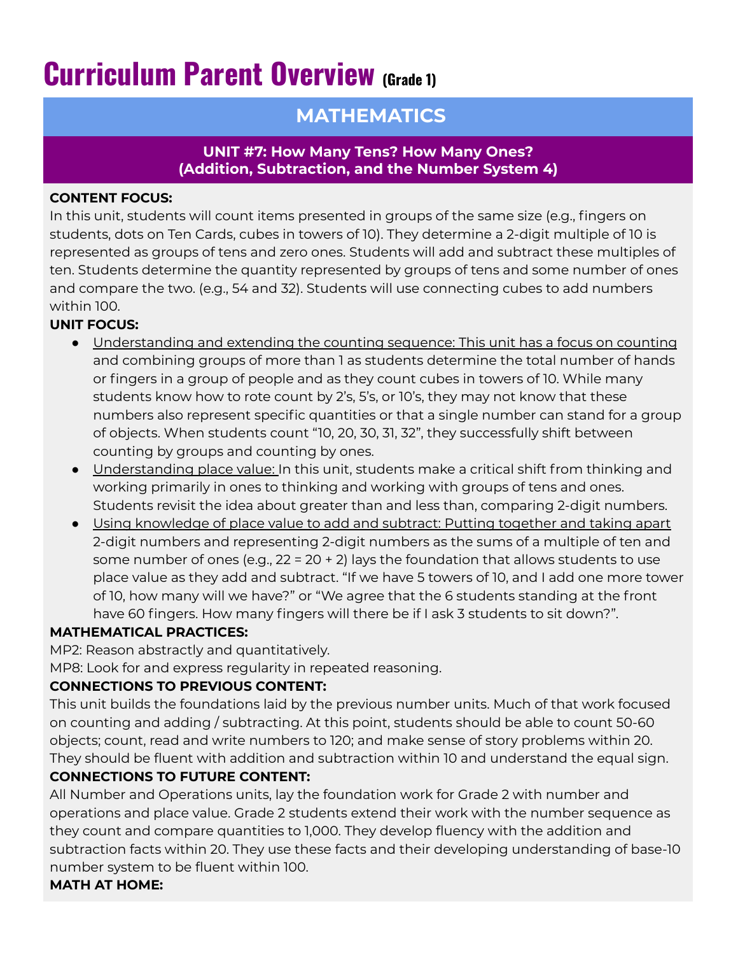# **Curriculum Parent Overview (Grade 1)**

# **MATHEMATICS**

#### **UNIT #7: How Many Tens? How Many Ones? (Addition, Subtraction, and the Number System 4)**

#### **CONTENT FOCUS:**

In this unit, students will count items presented in groups of the same size (e.g., fingers on students, dots on Ten Cards, cubes in towers of 10). They determine a 2-digit multiple of 10 is represented as groups of tens and zero ones. Students will add and subtract these multiples of ten. Students determine the quantity represented by groups of tens and some number of ones and compare the two. (e.g., 54 and 32). Students will use connecting cubes to add numbers within 100.

## **UNIT FOCUS:**

- Understanding and extending the counting sequence: This unit has a focus on counting and combining groups of more than 1 as students determine the total number of hands or fingers in a group of people and as they count cubes in towers of 10. While many students know how to rote count by 2's, 5's, or 10's, they may not know that these numbers also represent specific quantities or that a single number can stand for a group of objects. When students count "10, 20, 30, 31, 32", they successfully shift between counting by groups and counting by ones.
- Understanding place value: In this unit, students make a critical shift from thinking and working primarily in ones to thinking and working with groups of tens and ones. Students revisit the idea about greater than and less than, comparing 2-digit numbers.
- Using knowledge of place value to add and subtract: Putting together and taking apart 2-digit numbers and representing 2-digit numbers as the sums of a multiple of ten and some number of ones (e.g.,  $22 = 20 + 2$ ) lays the foundation that allows students to use place value as they add and subtract. "If we have 5 towers of 10, and I add one more tower of 10, how many will we have?" or "We agree that the 6 students standing at the front have 60 fingers. How many fingers will there be if I ask 3 students to sit down?".

### **MATHEMATICAL PRACTICES:**

MP2: Reason abstractly and quantitatively.

MP8: Look for and express regularity in repeated reasoning.

### **CONNECTIONS TO PREVIOUS CONTENT:**

This unit builds the foundations laid by the previous number units. Much of that work focused on counting and adding / subtracting. At this point, students should be able to count 50-60 objects; count, read and write numbers to 120; and make sense of story problems within 20. They should be fluent with addition and subtraction within 10 and understand the equal sign.

### **CONNECTIONS TO FUTURE CONTENT:**

All Number and Operations units, lay the foundation work for Grade 2 with number and operations and place value. Grade 2 students extend their work with the number sequence as they count and compare quantities to 1,000. They develop fluency with the addition and subtraction facts within 20. They use these facts and their developing understanding of base-10 number system to be fluent within 100.

### **MATH AT HOME:**